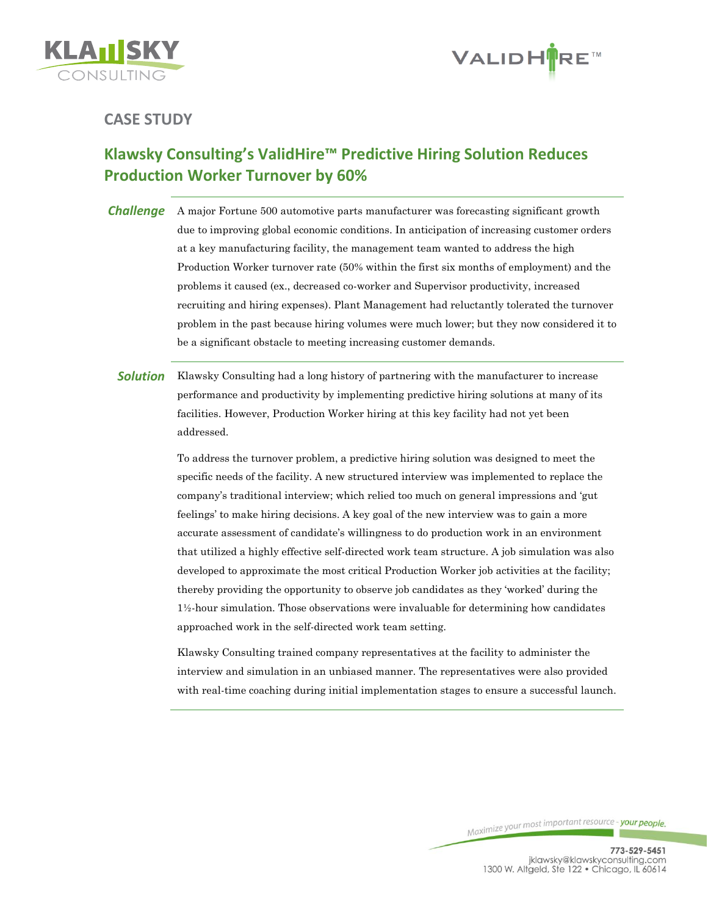



## **CASE STUDY**

## **Klawsky Consulting's ValidHire™ Predictive Hiring Solution Reduces Production Worker Turnover by 60%**

**Challenge** A major Fortune 500 automotive parts manufacturer was forecasting significant growth due to improving global economic conditions. In anticipation of increasing customer orders at a key manufacturing facility, the management team wanted to address the high Production Worker turnover rate (50% within the first six months of employment) and the problems it caused (ex., decreased co-worker and Supervisor productivity, increased recruiting and hiring expenses). Plant Management had reluctantly tolerated the turnover problem in the past because hiring volumes were much lower; but they now considered it to be a significant obstacle to meeting increasing customer demands.

**Solution** Klawsky Consulting had a long history of partnering with the manufacturer to increase performance and productivity by implementing predictive hiring solutions at many of its facilities. However, Production Worker hiring at this key facility had not yet been addressed.

> To address the turnover problem, a predictive hiring solution was designed to meet the specific needs of the facility. A new structured interview was implemented to replace the company's traditional interview; which relied too much on general impressions and 'gut feelings' to make hiring decisions. A key goal of the new interview was to gain a more accurate assessment of candidate's willingness to do production work in an environment that utilized a highly effective self-directed work team structure. A job simulation was also developed to approximate the most critical Production Worker job activities at the facility; thereby providing the opportunity to observe job candidates as they 'worked' during the 1½-hour simulation. Those observations were invaluable for determining how candidates approached work in the self-directed work team setting.

> Klawsky Consulting trained company representatives at the facility to administer the interview and simulation in an unbiased manner. The representatives were also provided with real-time coaching during initial implementation stages to ensure a successful launch.

> > Maximize your most important resource - your people.